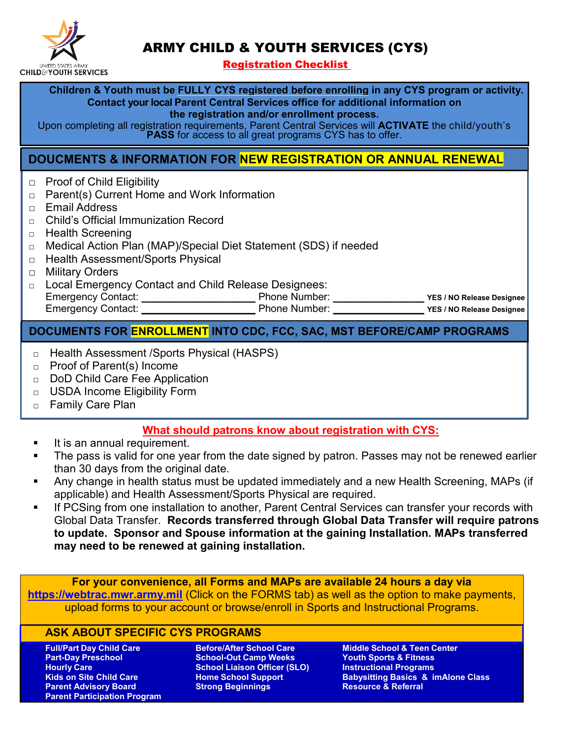

# ARMY CHILD & YOUTH SERVICES (CYS)

Registration Checklist

**Children & Youth must be FULLY CYS registered before enrolling in any CYS program or activity. Contact your local Parent Central Services office for additional information on the registration and/or enrollment process.**

Upon completing all registration requirements, Parent Central Services will **ACTIVATE** the child/youth's **PASS** for access to all great programs CYS has to offer.

# **DOUCMENTS & INFORMATION FOR NEW REGISTRATION OR ANNUAL RENEWAL**

- □ Proof of Child Eligibility
- □ Parent(s) Current Home and Work Information
- □ Email Address
- □ Child's Official Immunization Record
- □ Health Screening
- □ Medical Action Plan (MAP)/Special Diet Statement (SDS) if needed
- □ Health Assessment/Sports Physical
- □ Military Orders
- □ Local Emergency Contact and Child Release Designees: Emergency Contact: \_\_\_\_\_\_\_\_\_\_\_\_\_\_\_\_\_\_\_\_ Phone Number: \_\_\_\_\_\_\_\_\_\_\_\_\_\_\_\_ **YES / NO Release Designee** Emergency Contact: **\_\_\_\_\_\_\_\_\_\_\_\_\_\_\_\_\_\_\_\_** Phone Number: **\_\_\_\_\_\_\_\_\_\_\_\_\_\_\_\_ YES / NO Release Designee**

## **DOCUMENTS FOR ENROLLMENT INTO CDC, FCC, SAC, MST BEFORE/CAMP PROGRAMS**

- □ Health Assessment / Sports Physical (HASPS)
- □ Proof of Parent(s) Income
- □ DoD Child Care Fee Application
- □ USDA Income Eligibility Form
- □ Family Care Plan

## **What should patrons know about registration with CYS:**

- It is an annual requirement.
- The pass is valid for one year from the date signed by patron. Passes may not be renewed earlier than 30 days from the original date.
- Any change in health status must be updated immediately and a new Health Screening, MAPs (if applicable) and Health Assessment/Sports Physical are required.
- If PCSing from one installation to another, Parent Central Services can transfer your records with Global Data Transfer. **Records transferred through Global Data Transfer will require patrons to update. Sponsor and Spouse information at the gaining Installation. MAPs transferred may need to be renewed at gaining installation.**

**For your convenience, all Forms and MAPs are available 24 hours a day via [https://webtrac.mwr.army.mil](https://webtrac.mwr.army.mil/)** (Click on the FORMS tab) as well as the option to make payments, upload forms to your account or browse/enroll in Sports and Instructional Programs.

#### **ASK ABOUT SPECIFIC CYS PROGRAMS**

**Full/Part Day Child Care Part-Day Preschool Hourly Care Kids on Site Child Care Parent Advisory Board Parent Participation Program** 

**Before/After School Care School-Out Camp Weeks School Liaison Officer (SLO) Home School Support Strong Beginnings** 

**Middle School & Teen Center Youth Sports & Fitness Instructional Programs Babysitting Basics & imAlone Class Resource & Referral**